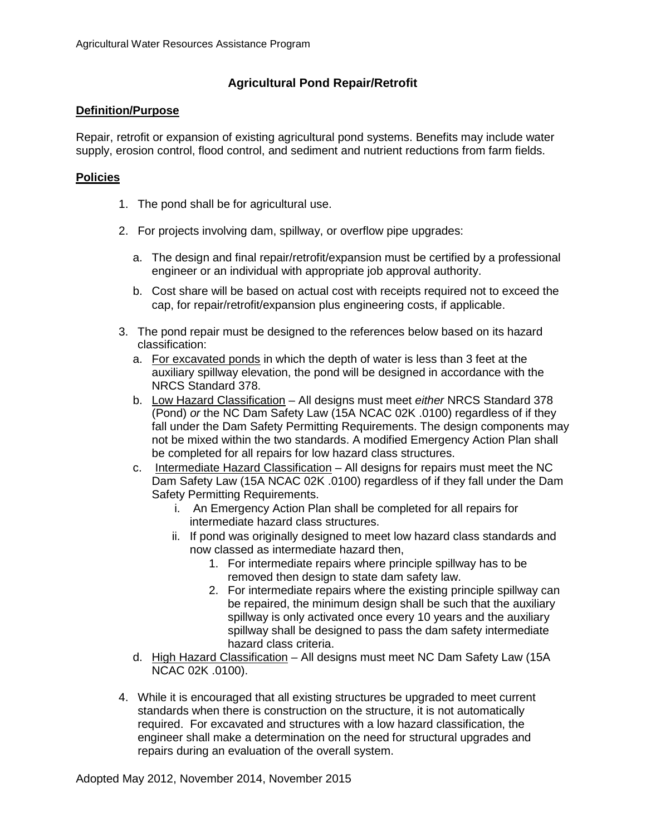## **Agricultural Pond Repair/Retrofit**

## **Definition/Purpose**

Repair, retrofit or expansion of existing agricultural pond systems. Benefits may include water supply, erosion control, flood control, and sediment and nutrient reductions from farm fields.

## **Policies**

- 1. The pond shall be for agricultural use.
- 2. For projects involving dam, spillway, or overflow pipe upgrades:
	- a. The design and final repair/retrofit/expansion must be certified by a professional engineer or an individual with appropriate job approval authority.
	- b. Cost share will be based on actual cost with receipts required not to exceed the cap, for repair/retrofit/expansion plus engineering costs, if applicable.
- 3. The pond repair must be designed to the references below based on its hazard classification:
	- a. For excavated ponds in which the depth of water is less than 3 feet at the auxiliary spillway elevation, the pond will be designed in accordance with the NRCS Standard 378.
	- b. Low Hazard Classification All designs must meet *either* NRCS Standard 378 (Pond) *or* the NC Dam Safety Law (15A NCAC 02K .0100) regardless of if they fall under the Dam Safety Permitting Requirements. The design components may not be mixed within the two standards. A modified Emergency Action Plan shall be completed for all repairs for low hazard class structures.
	- c. Intermediate Hazard Classification All designs for repairs must meet the NC Dam Safety Law (15A NCAC 02K .0100) regardless of if they fall under the Dam Safety Permitting Requirements.
		- i. An Emergency Action Plan shall be completed for all repairs for intermediate hazard class structures.
		- ii. If pond was originally designed to meet low hazard class standards and now classed as intermediate hazard then,
			- 1. For intermediate repairs where principle spillway has to be removed then design to state dam safety law.
			- 2. For intermediate repairs where the existing principle spillway can be repaired, the minimum design shall be such that the auxiliary spillway is only activated once every 10 years and the auxiliary spillway shall be designed to pass the dam safety intermediate hazard class criteria.
	- d. High Hazard Classification All designs must meet NC Dam Safety Law (15A NCAC 02K .0100).
- 4. While it is encouraged that all existing structures be upgraded to meet current standards when there is construction on the structure, it is not automatically required. For excavated and structures with a low hazard classification, the engineer shall make a determination on the need for structural upgrades and repairs during an evaluation of the overall system.